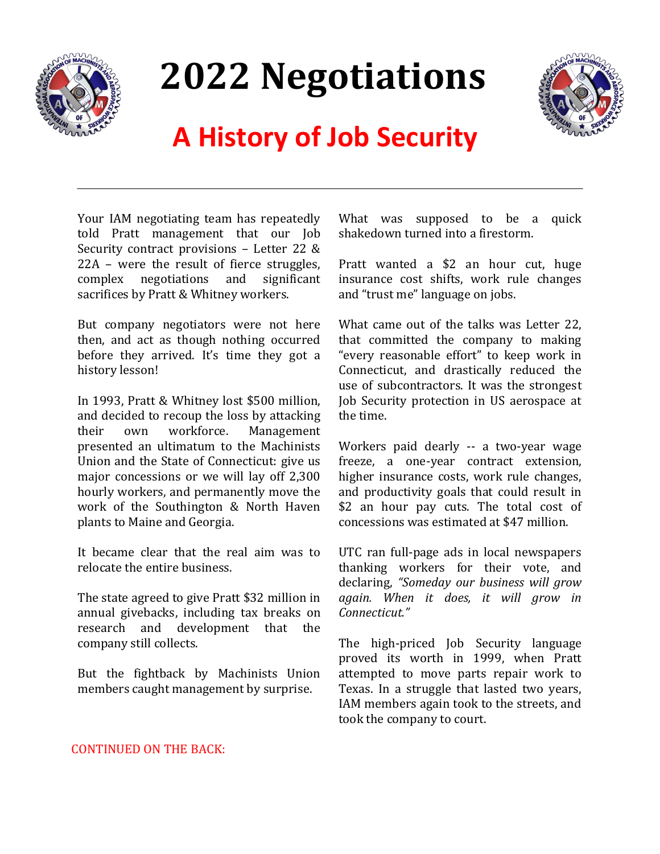

# **2022 Negotiations**



# **A History of Job Security**

Your IAM negotiating team has repeatedly told Pratt management that our Job Security contract provisions – Letter 22 & 22A – were the result of fierce struggles, complex negotiations and significant sacrifices by Pratt & Whitney workers.

But company negotiators were not here then, and act as though nothing occurred before they arrived. It's time they got a history lesson!

In 1993, Pratt & Whitney lost \$500 million, and decided to recoup the loss by attacking their own workforce. Management presented an ultimatum to the Machinists Union and the State of Connecticut: give us major concessions or we will lay off 2,300 hourly workers, and permanently move the work of the Southington & North Haven plants to Maine and Georgia.

It became clear that the real aim was to relocate the entire business.

The state agreed to give Pratt \$32 million in annual givebacks, including tax breaks on research and development that the company still collects.

But the fightback by Machinists Union members caught management by surprise.

What was supposed to be a quick shakedown turned into a firestorm.

Pratt wanted a \$2 an hour cut, huge insurance cost shifts, work rule changes and "trust me" language on jobs.

What came out of the talks was Letter 22, that committed the company to making "every reasonable effort" to keep work in Connecticut, and drastically reduced the use of subcontractors. It was the strongest Job Security protection in US aerospace at the time.

Workers paid dearly -- a two-year wage freeze, a one-year contract extension, higher insurance costs, work rule changes, and productivity goals that could result in \$2 an hour pay cuts. The total cost of concessions was estimated at \$47 million.

UTC ran full-page ads in local newspapers thanking workers for their vote, and declaring, *"Someday our business will grow again. When it does, it will grow in Connecticut."*

The high-priced Job Security language proved its worth in 1999, when Pratt attempted to move parts repair work to Texas. In a struggle that lasted two years, IAM members again took to the streets, and took the company to court.

#### CONTINUED ON THE BACK: